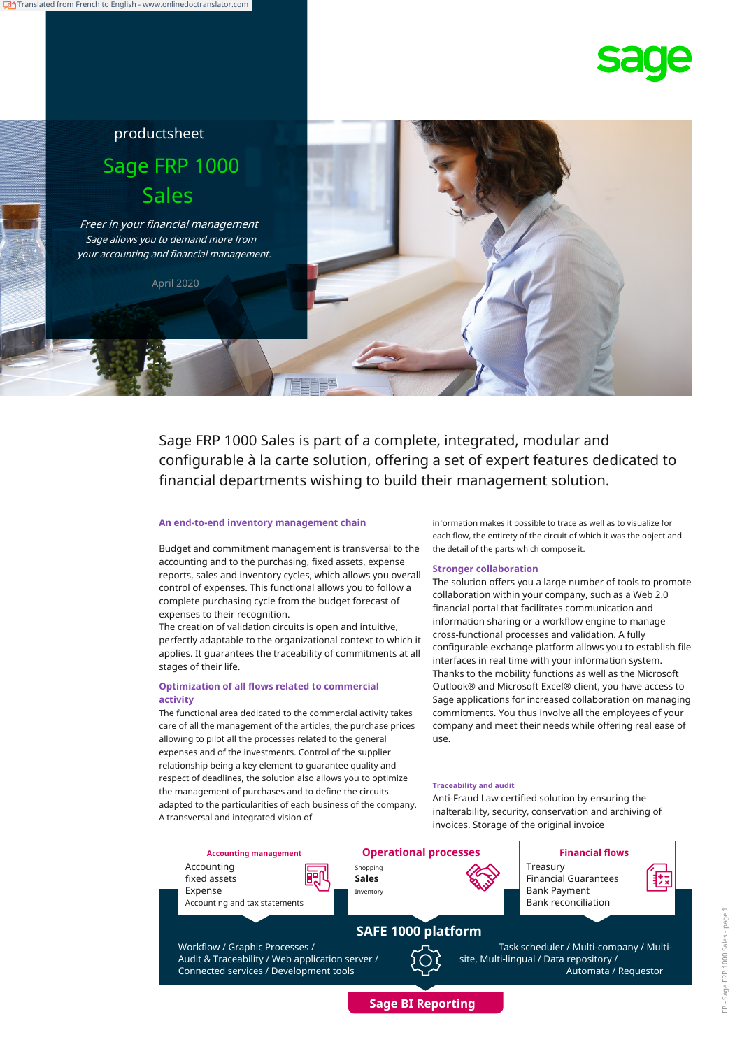

# productsheet Sage FRP 1000 Sales

Freer in your financial management Sage allows you to demand more from your accounting and financial management.

April 2020

Sage FRP 1000 Sales is part of a complete, integrated, modular and configurable à la carte solution, offering a set of expert features dedicated to financial departments wishing to build their management solution.

#### **An end-to-end inventory management chain**

Budget and commitment management is transversal to the accounting and to the purchasing, fixed assets, expense reports, sales and inventory cycles, which allows you overall control of expenses. This functional allows you to follow a complete purchasing cycle from the budget forecast of expenses to their recognition.

The creation of validation circuits is open and intuitive, perfectly adaptable to the organizational context to which it applies. It guarantees the traceability of commitments at all stages of their life.

#### **Optimization of all flows related to commercial activity**

The functional area dedicated to the commercial activity takes care of all the management of the articles, the purchase prices allowing to pilot all the processes related to the general expenses and of the investments. Control of the supplier relationship being a key element to guarantee quality and respect of deadlines, the solution also allows you to optimize the management of purchases and to define the circuits adapted to the particularities of each business of the company. A transversal and integrated vision of

information makes it possible to trace as well as to visualize for each flow, the entirety of the circuit of which it was the object and the detail of the parts which compose it.

#### **Stronger collaboration**

The solution offers you a large number of tools to promote collaboration within your company, such as a Web 2.0 financial portal that facilitates communication and information sharing or a workflow engine to manage cross-functional processes and validation. A fully configurable exchange platform allows you to establish file interfaces in real time with your information system. Thanks to the mobility functions as well as the Microsoft Outlook® and Microsoft Excel® client, you have access to Sage applications for increased collaboration on managing commitments. You thus involve all the employees of your company and meet their needs while offering real ease of use.

#### **Traceability and audit**

Anti-Fraud Law certified solution by ensuring the inalterability, security, conservation and archiving of invoices. Storage of the original invoice



**Sage BI Reporting**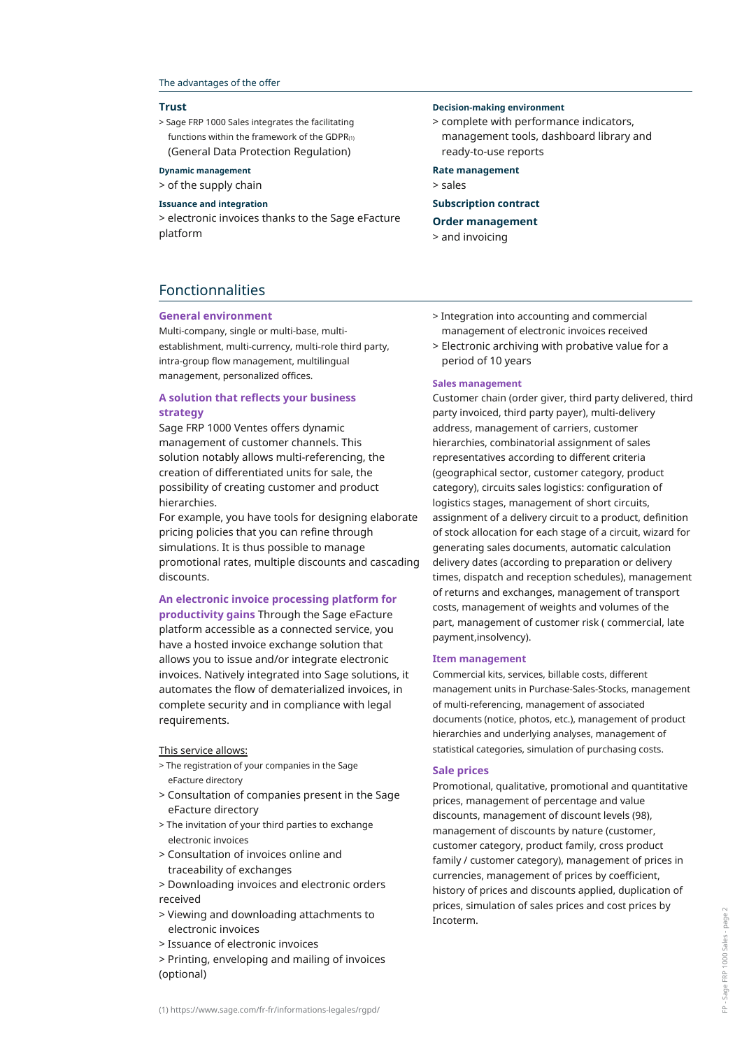#### The advantages of the offer

#### **Trust**

> Sage FRP 1000 Sales integrates the facilitating functions within the framework of the GDPR $(1)$ (General Data Protection Regulation)

#### **Dynamic management**

> of the supply chain

#### **Issuance and integration**

> electronic invoices thanks to the Sage eFacture platform

### Fonctionnalities

#### **General environment**

Multi-company, single or multi-base, multiestablishment, multi-currency, multi-role third party, intra-group flow management, multilingual management, personalized offices.

#### **A solution that reflects your business strategy**

Sage FRP 1000 Ventes offers dynamic management of customer channels. This solution notably allows multi-referencing, the creation of differentiated units for sale, the possibility of creating customer and product hierarchies.

For example, you have tools for designing elaborate pricing policies that you can refine through simulations. It is thus possible to manage promotional rates, multiple discounts and cascading discounts.

#### **An electronic invoice processing platform for**

**productivity gains** Through the Sage eFacture platform accessible as a connected service, you have a hosted invoice exchange solution that allows you to issue and/or integrate electronic invoices. Natively integrated into Sage solutions, it automates the flow of dematerialized invoices, in complete security and in compliance with legal requirements.

#### This service allows:

- > The registration of your companies in the Sage eFacture directory
- > Consultation of companies present in the Sage eFacture directory
- > The invitation of your third parties to exchange electronic invoices
- > Consultation of invoices online and traceability of exchanges
- > Downloading invoices and electronic orders received
- > Viewing and downloading attachments to electronic invoices
- > Issuance of electronic invoices
- > Printing, enveloping and mailing of invoices (optional)

#### **Decision-making environment**

> complete with performance indicators, management tools, dashboard library and ready-to-use reports

#### **Rate management**

> sales

#### **Subscription contract**

#### **Order management**

> and invoicing

- > Integration into accounting and commercial management of electronic invoices received
- > Electronic archiving with probative value for a period of 10 years

#### **Sales management**

Customer chain (order giver, third party delivered, third party invoiced, third party payer), multi-delivery address, management of carriers, customer hierarchies, combinatorial assignment of sales representatives according to different criteria (geographical sector, customer category, product category), circuits sales logistics: configuration of logistics stages, management of short circuits, assignment of a delivery circuit to a product, definition of stock allocation for each stage of a circuit, wizard for generating sales documents, automatic calculation delivery dates (according to preparation or delivery times, dispatch and reception schedules), management of returns and exchanges, management of transport costs, management of weights and volumes of the part, management of customer risk ( commercial, late payment,insolvency).

#### **Item management**

Commercial kits, services, billable costs, different management units in Purchase-Sales-Stocks, management of multi-referencing, management of associated documents (notice, photos, etc.), management of product hierarchies and underlying analyses, management of statistical categories, simulation of purchasing costs.

#### **Sale prices**

Promotional, qualitative, promotional and quantitative prices, management of percentage and value discounts, management of discount levels (98), management of discounts by nature (customer, customer category, product family, cross product family / customer category), management of prices in currencies, management of prices by coefficient, history of prices and discounts applied, duplication of prices, simulation of sales prices and cost prices by Incoterm.